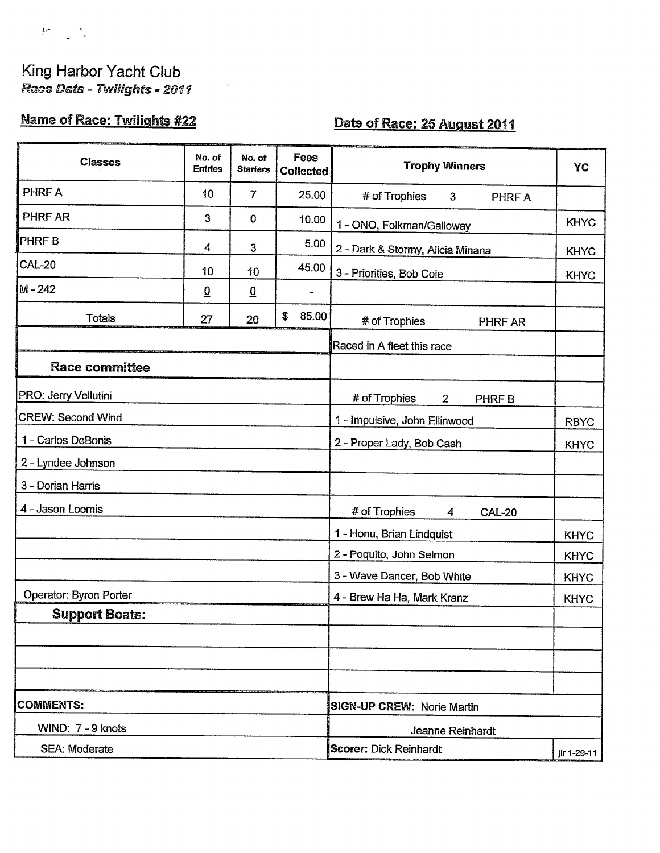

### King Harbor Yacht Club Race Data - Twilights - 2011

# **Name of Race: Twilights #22**

# Date of Race: 25 August 2011

| <b>Classes</b>           | No. of<br><b>Entries</b> | No. of<br><b>Starters</b> | <b>Fees</b><br><b>Collected</b>   | <b>Trophy Winners</b>                        | <b>YC</b>   |  |
|--------------------------|--------------------------|---------------------------|-----------------------------------|----------------------------------------------|-------------|--|
| PHRF A                   | 10                       | $\overline{7}$            | 25.00                             | # of Trophies<br>$\mathbf{3}$<br>PHRF A      |             |  |
| PHRF AR                  | 3                        | $\bf{0}$                  | 10.00                             | 1 - ONO, Folkman/Galloway                    | <b>KHYC</b> |  |
| <b>PHRFB</b>             | 4                        | 3                         | 5.00                              | 2 - Dark & Stormy, Alicia Minana             | <b>KHYC</b> |  |
| <b>CAL-20</b>            | 10                       | 10                        | 45.00                             | 3 - Priorities, Bob Cole                     | <b>KHYC</b> |  |
| M-242                    | $\overline{0}$           | $\overline{0}$            |                                   |                                              |             |  |
| <b>Totals</b>            | 27                       | 20                        | \$<br>85.00                       | # of Trophies<br>PHRF AR                     |             |  |
|                          |                          |                           |                                   | Raced in A fleet this race                   |             |  |
| <b>Race committee</b>    |                          |                           |                                   |                                              |             |  |
| PRO: Jerry Vellutini     |                          |                           |                                   | # of Trophies<br>$\overline{2}$<br>PHRF B    |             |  |
| <b>CREW: Second Wind</b> |                          |                           |                                   | 1 - Impulsive, John Ellinwood                | <b>RBYC</b> |  |
| 1 - Carlos DeBonis       |                          |                           |                                   | 2 - Proper Lady, Bob Cash                    | <b>KHYC</b> |  |
| 2 - Lyndee Johnson       |                          |                           |                                   |                                              |             |  |
| 3 - Dorian Harris        |                          |                           |                                   |                                              |             |  |
| 4 - Jason Loomis         |                          |                           |                                   | # of Trophies<br>4<br><b>CAL-20</b>          |             |  |
|                          |                          |                           |                                   | 1 - Honu, Brian Lindquist                    | <b>KHYC</b> |  |
|                          |                          |                           |                                   | 2 - Poquito, John Selmon                     | <b>KHYC</b> |  |
|                          |                          |                           |                                   | 3 - Wave Dancer, Bob White                   | <b>KHYC</b> |  |
| Operator: Byron Porter   |                          |                           |                                   | 4 - Brew Ha Ha, Mark Kranz                   | <b>KHYC</b> |  |
| <b>Support Boats:</b>    |                          |                           |                                   |                                              |             |  |
|                          |                          |                           |                                   |                                              |             |  |
|                          |                          |                           |                                   |                                              |             |  |
|                          |                          |                           |                                   |                                              |             |  |
| <b>COMMENTS:</b>         |                          |                           | <b>SIGN-UP CREW: Norie Martin</b> |                                              |             |  |
| WIND: 7 - 9 knots        |                          |                           |                                   | Jeanne Reinhardt                             |             |  |
| SEA: Moderate            |                          |                           |                                   | <b>Scorer: Dick Reinhardt</b><br>ilr 1-29-11 |             |  |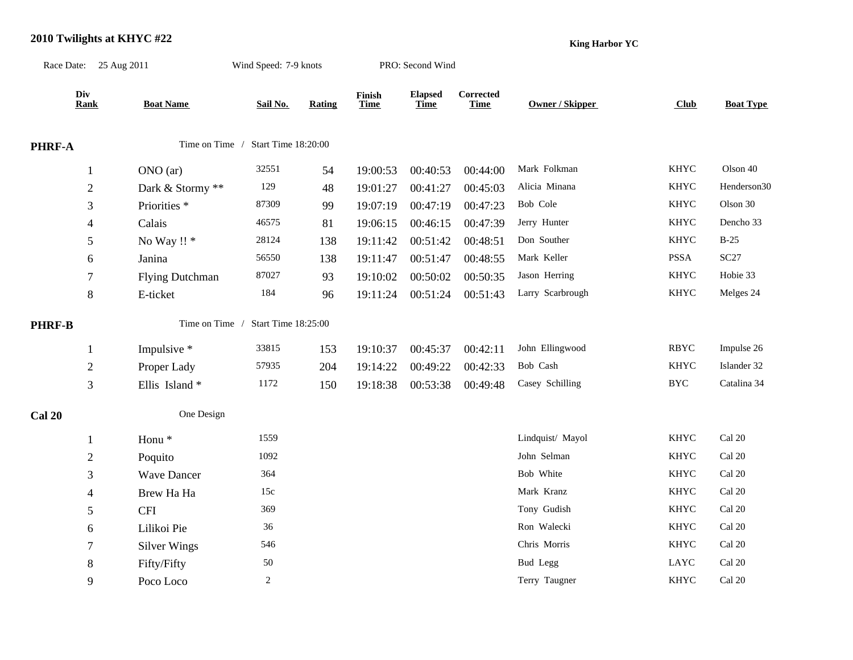#### **2010 Twilights at KHYC #22**

**King Harbor YC**

|               | Race Date: 25 Aug 2011 |                         | Wind Speed: 7-9 knots              |        |                       | PRO: Second Wind              |                          |                        |             |                  |
|---------------|------------------------|-------------------------|------------------------------------|--------|-----------------------|-------------------------------|--------------------------|------------------------|-------------|------------------|
|               | Div<br><b>Rank</b>     | <b>Boat Name</b>        | Sail No.                           | Rating | Finish<br><b>Time</b> | <b>Elapsed</b><br><b>Time</b> | Corrected<br><b>Time</b> | <b>Owner / Skipper</b> | Club        | <b>Boat Type</b> |
| PHRF-A        |                        |                         | Time on Time / Start Time 18:20:00 |        |                       |                               |                          |                        |             |                  |
|               | $\mathbf{1}$           | ONO (ar)                | 32551                              | 54     | 19:00:53              | 00:40:53                      | 00:44:00                 | Mark Folkman           | <b>KHYC</b> | Olson 40         |
|               | $\overline{2}$         | Dark & Stormy **        | 129                                | 48     | 19:01:27              | 00:41:27                      | 00:45:03                 | Alicia Minana          | <b>KHYC</b> | Henderson30      |
|               | 3                      | Priorities <sup>*</sup> | 87309                              | 99     | 19:07:19              | 00:47:19                      | 00:47:23                 | Bob Cole               | <b>KHYC</b> | Olson 30         |
|               | 4                      | Calais                  | 46575                              | 81     | 19:06:15              | 00:46:15                      | 00:47:39                 | Jerry Hunter           | <b>KHYC</b> | Dencho 33        |
|               | 5                      | No Way !! *             | 28124                              | 138    | 19:11:42              | 00:51:42                      | 00:48:51                 | Don Souther            | <b>KHYC</b> | $B-25$           |
|               | 6                      | Janina                  | 56550                              | 138    | 19:11:47              | 00:51:47                      | 00:48:55                 | Mark Keller            | PSSA        | SC27             |
|               | 7                      | <b>Flying Dutchman</b>  | 87027                              | 93     | 19:10:02              | 00:50:02                      | 00:50:35                 | Jason Herring          | <b>KHYC</b> | Hobie 33         |
|               | $8\,$                  | E-ticket                | 184                                | 96     | 19:11:24              | 00:51:24                      | 00:51:43                 | Larry Scarbrough       | <b>KHYC</b> | Melges 24        |
| <b>PHRF-B</b> |                        | Time on Time /          | Start Time 18:25:00                |        |                       |                               |                          |                        |             |                  |
|               | $\mathbf{1}$           | Impulsive *             | 33815                              | 153    | 19:10:37              | 00:45:37                      | 00:42:11                 | John Ellingwood        | <b>RBYC</b> | Impulse 26       |
|               | $\boldsymbol{2}$       | Proper Lady             | 57935                              | 204    | 19:14:22              | 00:49:22                      | 00:42:33                 | Bob Cash               | <b>KHYC</b> | Islander 32      |
|               | $\mathfrak{Z}$         | Ellis Island*           | 1172                               | 150    | 19:18:38              | 00:53:38                      | 00:49:48                 | Casey Schilling        | <b>BYC</b>  | Catalina 34      |
| <b>Cal 20</b> |                        | One Design              |                                    |        |                       |                               |                          |                        |             |                  |
|               | 1                      | Honu <sup>*</sup>       | 1559                               |        |                       |                               |                          | Lindquist/ Mayol       | <b>KHYC</b> | Cal 20           |
|               | $\overline{c}$         | Poquito                 | 1092                               |        |                       |                               |                          | John Selman            | <b>KHYC</b> | Cal 20           |
|               | 3                      | <b>Wave Dancer</b>      | 364                                |        |                       |                               |                          | Bob White              | <b>KHYC</b> | Cal 20           |
|               | 4                      | Brew Ha Ha              | 15c                                |        |                       |                               |                          | Mark Kranz             | <b>KHYC</b> | Cal 20           |
|               | 5                      | <b>CFI</b>              | 369                                |        |                       |                               |                          | Tony Gudish            | <b>KHYC</b> | Cal 20           |
|               | 6                      | Lilikoi Pie             | 36                                 |        |                       |                               |                          | Ron Walecki            | <b>KHYC</b> | Cal 20           |
|               | 7                      | <b>Silver Wings</b>     | 546                                |        |                       |                               |                          | Chris Morris           | <b>KHYC</b> | Cal 20           |
|               | $8\,$                  | Fifty/Fifty             | 50                                 |        |                       |                               |                          | <b>Bud Legg</b>        | LAYC        | Cal 20           |
|               | 9                      | Poco Loco               | $\sqrt{2}$                         |        |                       |                               |                          | Terry Taugner          | <b>KHYC</b> | Cal 20           |